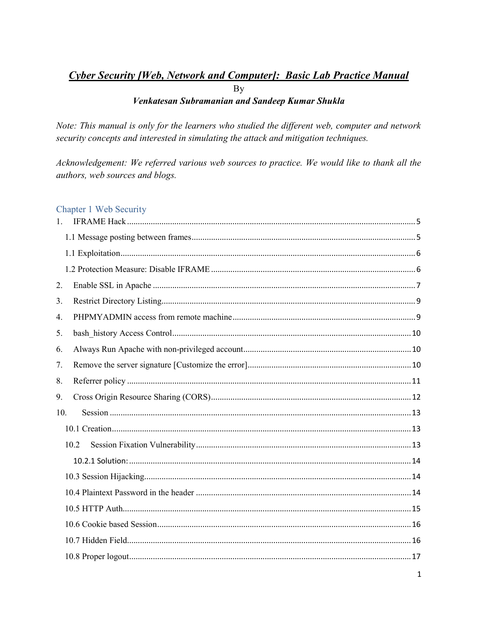## Cyber Security [Web, Network and Computer]: Basic Lab Practice Manual  $\overline{B}y$ Venkatesan Subramanian and Sandeep Kumar Shukla

Note: This manual is only for the learners who studied the different web, computer and network security concepts and interested in simulating the attack and mitigation techniques.

Acknowledgement: We referred various web sources to practice. We would like to thank all the authors, web sources and blogs.

## Chapter 1 Web Security

| $\mathbf{1}$ . |      |
|----------------|------|
|                |      |
|                |      |
|                |      |
| 2.             |      |
| 3.             |      |
| 4.             |      |
| 5.             |      |
| 6.             |      |
| 7.             |      |
| 8.             |      |
| 9.             |      |
| 10.            |      |
|                |      |
|                | 10.2 |
|                |      |
|                |      |
|                |      |
|                |      |
|                |      |
|                |      |
|                |      |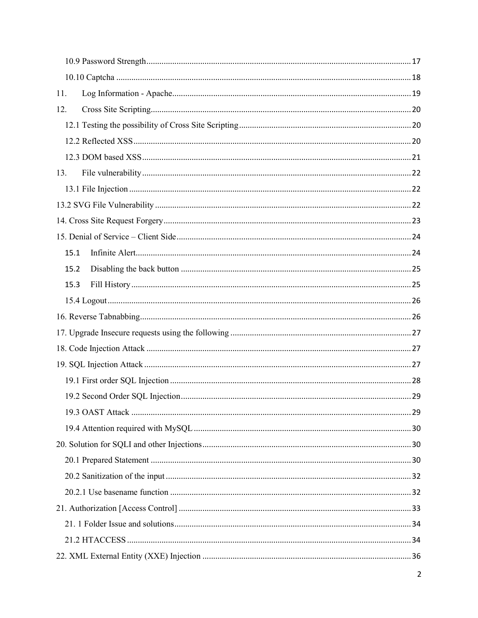| 11.  |  |  |
|------|--|--|
| 12.  |  |  |
|      |  |  |
|      |  |  |
|      |  |  |
| 13.  |  |  |
|      |  |  |
|      |  |  |
|      |  |  |
|      |  |  |
| 15.1 |  |  |
| 15.2 |  |  |
| 15.3 |  |  |
|      |  |  |
|      |  |  |
|      |  |  |
|      |  |  |
|      |  |  |
|      |  |  |
|      |  |  |
|      |  |  |
|      |  |  |
|      |  |  |
|      |  |  |
|      |  |  |
|      |  |  |
|      |  |  |
|      |  |  |
|      |  |  |
|      |  |  |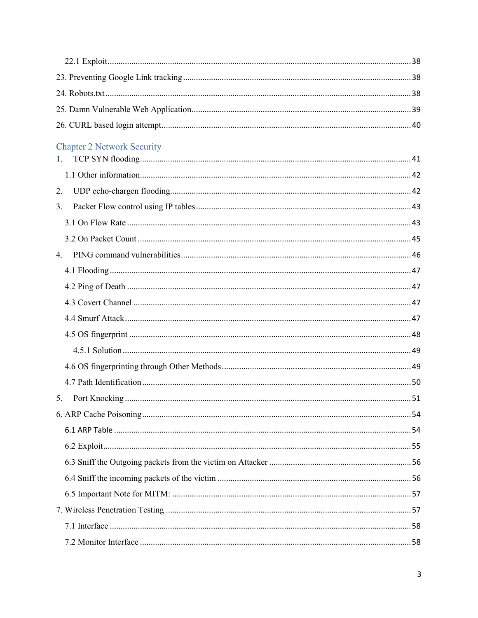| <b>Chapter 2 Network Security</b> |  |
|-----------------------------------|--|
| 1.                                |  |
|                                   |  |
| 2.                                |  |
| 3.                                |  |
|                                   |  |
|                                   |  |
| 4.                                |  |
|                                   |  |
|                                   |  |
|                                   |  |
|                                   |  |
|                                   |  |
|                                   |  |
|                                   |  |
|                                   |  |
| 5.                                |  |
|                                   |  |
|                                   |  |
|                                   |  |
|                                   |  |
|                                   |  |
|                                   |  |
|                                   |  |
|                                   |  |
|                                   |  |